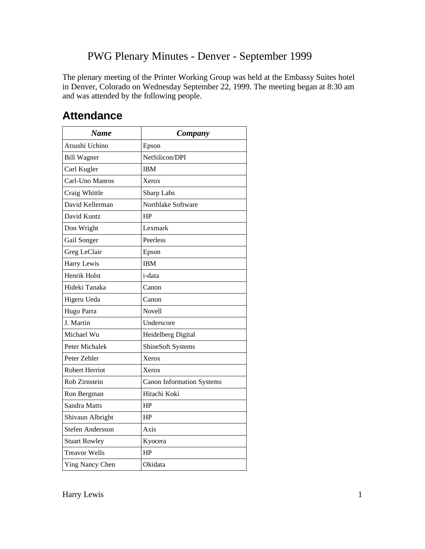The plenary meeting of the Printer Working Group was held at the Embassy Suites hotel in Denver, Colorado on Wednesday September 22, 1999. The meeting began at 8:30 am and was attended by the following people.

| <b>Name</b>           | Company                          |
|-----------------------|----------------------------------|
| Atsushi Uchino        | Epson                            |
| <b>Bill Wagner</b>    | NetSilicon/DPI                   |
| Carl Kugler           | <b>IBM</b>                       |
| Carl-Uno Manros       | Xerox                            |
| Craig Whittle         | Sharp Labs                       |
| David Kellerman       | Northlake Software               |
| David Kuntz           | HP                               |
| Don Wright            | Lexmark                          |
| Gail Songer           | Peerless                         |
| Greg LeClair          | Epson                            |
| Harry Lewis           | <b>IBM</b>                       |
| Henrik Holst          | i-data                           |
| Hideki Tanaka         | Canon                            |
| Higeru Ueda           | Canon                            |
| Hugo Parra            | Novell                           |
| J. Martin             | Underscore                       |
| Michael Wu            | Heidelberg Digital               |
| Peter Michalek        | ShineSoft Systems                |
| Peter Zehler          | Xerox                            |
| <b>Robert Herriot</b> | Xerox                            |
| Rob Zirnstein         | <b>Canon Information Systems</b> |
| Ron Bergman           | Hitachi Koki                     |
| Sandra Matts          | HP                               |
| Shivaun Albright      | HP                               |
| Stefen Andersson      | Axis                             |
| <b>Stuart Rowley</b>  | Kyocera                          |
| <b>Treavor Wells</b>  | HP                               |
| Ying Nancy Chen       | Okidata                          |

## **Attendance**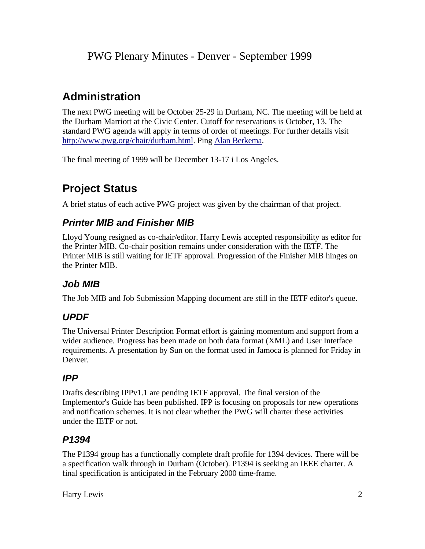# **Administration**

The next PWG meeting will be October 25-29 in Durham, NC. The meeting will be held at the Durham Marriott at the Civic Center. Cutoff for reservations is October, 13. The standard PWG agenda will apply in terms of order of meetings. For further details visit http://www.pwg.org/chair/durham.html. Ping Alan Berkema.

The final meeting of 1999 will be December 13-17 i Los Angeles.

# **Project Status**

A brief status of each active PWG project was given by the chairman of that project.

### *Printer MIB and Finisher MIB*

Lloyd Young resigned as co-chair/editor. Harry Lewis accepted responsibility as editor for the Printer MIB. Co-chair position remains under consideration with the IETF. The Printer MIB is still waiting for IETF approval. Progression of the Finisher MIB hinges on the Printer MIB.

### *Job MIB*

The Job MIB and Job Submission Mapping document are still in the IETF editor's queue.

## *UPDF*

The Universal Printer Description Format effort is gaining momentum and support from a wider audience. Progress has been made on both data format (XML) and User Intetface requirements. A presentation by Sun on the format used in Jamoca is planned for Friday in Denver.

### *IPP*

Drafts describing IPPv1.1 are pending IETF approval. The final version of the Implementor's Guide has been published. IPP is focusing on proposals for new operations and notification schemes. It is not clear whether the PWG will charter these activities under the IETF or not.

### *P1394*

The P1394 group has a functionally complete draft profile for 1394 devices. There will be a specification walk through in Durham (October). P1394 is seeking an IEEE charter. A final specification is anticipated in the February 2000 time-frame.

Harry Lewis 2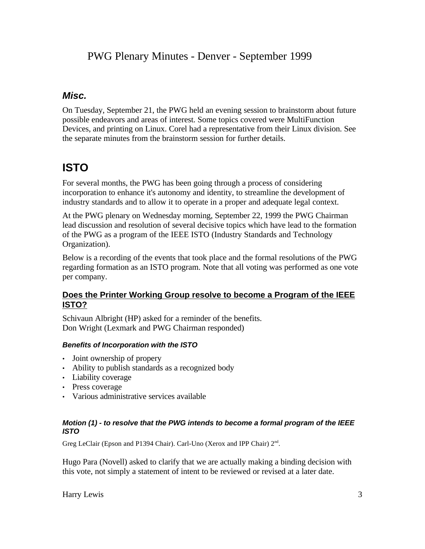### *Misc.*

On Tuesday, September 21, the PWG held an evening session to brainstorm about future possible endeavors and areas of interest. Some topics covered were MultiFunction Devices, and printing on Linux. Corel had a representative from their Linux division. See the separate minutes from the brainstorm session for further details.

# **ISTO**

For several months, the PWG has been going through a process of considering incorporation to enhance it's autonomy and identity, to streamline the development of industry standards and to allow it to operate in a proper and adequate legal context.

At the PWG plenary on Wednesday morning, September 22, 1999 the PWG Chairman lead discussion and resolution of several decisive topics which have lead to the formation of the PWG as a program of the IEEE ISTO (Industry Standards and Technology Organization).

Below is a recording of the events that took place and the formal resolutions of the PWG regarding formation as an ISTO program. Note that all voting was performed as one vote per company.

### **Does the Printer Working Group resolve to become a Program of the IEEE ISTO?**

Schivaun Albright (HP) asked for a reminder of the benefits. Don Wright (Lexmark and PWG Chairman responded)

### *Benefits of Incorporation with the ISTO*

- Joint ownership of propery
- Ability to publish standards as a recognized body
- Liability coverage
- Press coverage
- Various administrative services available

#### *Motion (1) - to resolve that the PWG intends to become a formal program of the IEEE ISTO*

Greg LeClair (Epson and P1394 Chair). Carl-Uno (Xerox and IPP Chair) 2<sup>nd</sup>.

Hugo Para (Novell) asked to clarify that we are actually making a binding decision with this vote, not simply a statement of intent to be reviewed or revised at a later date.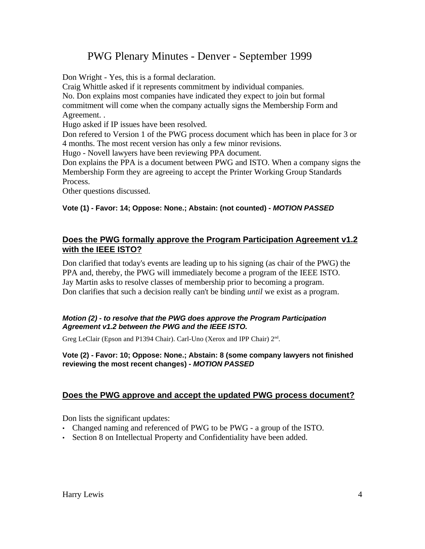Don Wright - Yes, this is a formal declaration.

Craig Whittle asked if it represents commitment by individual companies.

No. Don explains most companies have indicated they expect to join but formal commitment will come when the company actually signs the Membership Form and Agreement. .

Hugo asked if IP issues have been resolved.

Don refered to Version 1 of the PWG process document which has been in place for 3 or 4 months. The most recent version has only a few minor revisions.

Hugo - Novell lawyers have been reviewing PPA document.

Don explains the PPA is a document between PWG and ISTO. When a company signs the Membership Form they are agreeing to accept the Printer Working Group Standards Process.

Other questions discussed.

### **Vote (1) - Favor: 14; Oppose: None.; Abstain: (not counted) -** *MOTION PASSED*

### **Does the PWG formally approve the Program Participation Agreement v1.2 with the IEEE ISTO?**

Don clarified that today's events are leading up to his signing (as chair of the PWG) the PPA and, thereby, the PWG will immediately become a program of the IEEE ISTO. Jay Martin asks to resolve classes of membership prior to becoming a program. Don clarifies that such a decision really can't be binding *until* we exist as a program.

#### *Motion (2) - to resolve that the PWG does approve the Program Participation Agreement v1.2 between the PWG and the IEEE ISTO.*

Greg LeClair (Epson and P1394 Chair). Carl-Uno (Xerox and IPP Chair) 2<sup>nd</sup>.

#### **Vote (2) - Favor: 10; Oppose: None.; Abstain: 8 (some company lawyers not finished reviewing the most recent changes) -** *MOTION PASSED*

### **Does the PWG approve and accept the updated PWG process document?**

Don lists the significant updates:

- Changed naming and referenced of PWG to be PWG a group of the ISTO.
- Section 8 on Intellectual Property and Confidentiality have been added.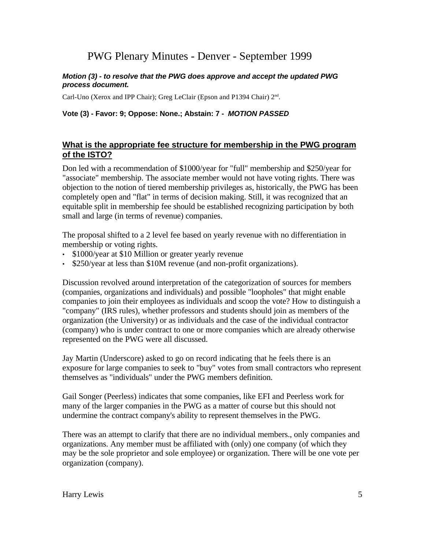#### *Motion (3) - to resolve that the PWG does approve and accept the updated PWG process document.*

Carl-Uno (Xerox and IPP Chair); Greg LeClair (Epson and P1394 Chair) 2<sup>nd</sup>.

#### **Vote (3) - Favor: 9; Oppose: None.; Abstain: 7 -** *MOTION PASSED*

### **What is the appropriate fee structure for membership in the PWG program of the ISTO?**

Don led with a recommendation of \$1000/year for "full" membership and \$250/year for "associate" membership. The associate member would not have voting rights. There was objection to the notion of tiered membership privileges as, historically, the PWG has been completely open and "flat" in terms of decision making. Still, it was recognized that an equitable split in membership fee should be established recognizing participation by both small and large (in terms of revenue) companies.

The proposal shifted to a 2 level fee based on yearly revenue with no differentiation in membership or voting rights.

- \$1000/year at \$10 Million or greater yearly revenue
- \$250/year at less than \$10M revenue (and non-profit organizations).

Discussion revolved around interpretation of the categorization of sources for members (companies, organizations and individuals) and possible "loopholes" that might enable companies to join their employees as individuals and scoop the vote? How to distinguish a "company" (IRS rules), whether professors and students should join as members of the organization (the University) or as individuals and the case of the individual contractor (company) who is under contract to one or more companies which are already otherwise represented on the PWG were all discussed.

Jay Martin (Underscore) asked to go on record indicating that he feels there is an exposure for large companies to seek to "buy" votes from small contractors who represent themselves as "individuals" under the PWG members definition.

Gail Songer (Peerless) indicates that some companies, like EFI and Peerless work for many of the larger companies in the PWG as a matter of course but this should not undermine the contract company's ability to represent themselves in the PWG.

There was an attempt to clarify that there are no individual members., only companies and organizations. Any member must be affiliated with (only) one company (of which they may be the sole proprietor and sole employee) or organization. There will be one vote per organization (company).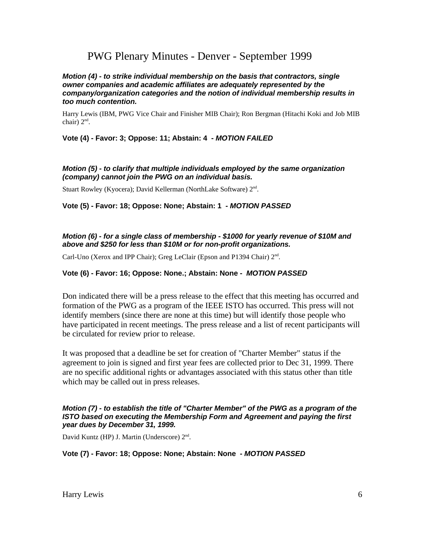#### *Motion (4) - to strike individual membership on the basis that contractors, single owner companies and academic affiliates are adequately represented by the company/organization categories and the notion of individual membership results in too much contention.*

Harry Lewis (IBM, PWG Vice Chair and Finisher MIB Chair); Ron Bergman (Hitachi Koki and Job MIB chair) 2<sup>nd</sup>.

#### **Vote (4) - Favor: 3; Oppose: 11; Abstain: 4 -** *MOTION FAILED*

#### *Motion (5) - to clarify that multiple individuals employed by the same organization (company) cannot join the PWG on an individual basis.*

Stuart Rowley (Kyocera); David Kellerman (NorthLake Software) 2<sup>nd</sup>.

#### **Vote (5) - Favor: 18; Oppose: None; Abstain: 1 -** *MOTION PASSED*

#### *Motion (6) - for a single class of membership - \$1000 for yearly revenue of \$10M and above and \$250 for less than \$10M or for non-profit organizations.*

Carl-Uno (Xerox and IPP Chair); Greg LeClair (Epson and P1394 Chair) 2<sup>nd</sup>.

#### **Vote (6) - Favor: 16; Oppose: None.; Abstain: None -** *MOTION PASSED*

Don indicated there will be a press release to the effect that this meeting has occurred and formation of the PWG as a program of the IEEE ISTO has occurred. This press will not identify members (since there are none at this time) but will identify those people who have participated in recent meetings. The press release and a list of recent participants will be circulated for review prior to release.

It was proposed that a deadline be set for creation of "Charter Member" status if the agreement to join is signed and first year fees are collected prior to Dec 31, 1999. There are no specific additional rights or advantages associated with this status other than title which may be called out in press releases.

#### *Motion (7) - to establish the title of "Charter Member" of the PWG as a program of the ISTO based on executing the Membership Form and Agreement and paying the first year dues by December 31, 1999.*

David Kuntz (HP) J. Martin (Underscore) 2<sup>nd</sup>.

#### **Vote (7) - Favor: 18; Oppose: None; Abstain: None -** *MOTION PASSED*